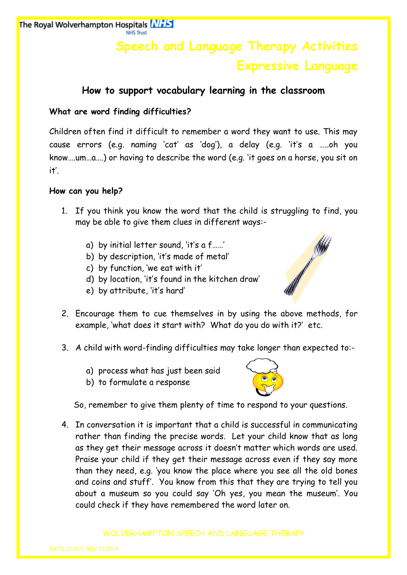# **Speech and Language Therapy Activities Expressive Language**

## **How to support vocabulary learning in the classroom**

## **What are word finding difficulties?**

Children often find it difficult to remember a word they want to use. This may cause errors (e.g. naming 'cat' as 'dog'), a delay (e.g. 'it's a …..oh you know….um…a….) or having to describe the word (e.g. 'it goes on a horse, you sit on it'.

## **How can you help?**

- 1. If you think you know the word that the child is struggling to find, you may be able to give them clues in different ways:
	- a) by initial letter sound, 'it's a f……'
	- b) by description, 'it's made of metal'
	- c) by function, 'we eat with it'
	- d) by location, 'it's found in the kitchen draw'
	- e) by attribute, 'it's hard'



- 3. A child with word-finding difficulties may take longer than expected to:
	- a) process what has just been said
	- b) to formulate a response



WHITE CONTROLL

So, remember to give them plenty of time to respond to your questions.

4. In conversation it is important that a child is successful in communicating rather than finding the precise words. Let your child know that as long as they get their message across it doesn't matter which words are used. Praise your child if they get their message across even if they say more than they need, e.g. 'you know the place where you see all the old bones and coins and stuff'. You know from this that they are trying to tell you about a museum so you could say 'Oh yes, you mean the museum'. You could check if they have remembered the word later on.

#### WOLVERHAMPTON SPEECH AND LANGUAGE THERAPY